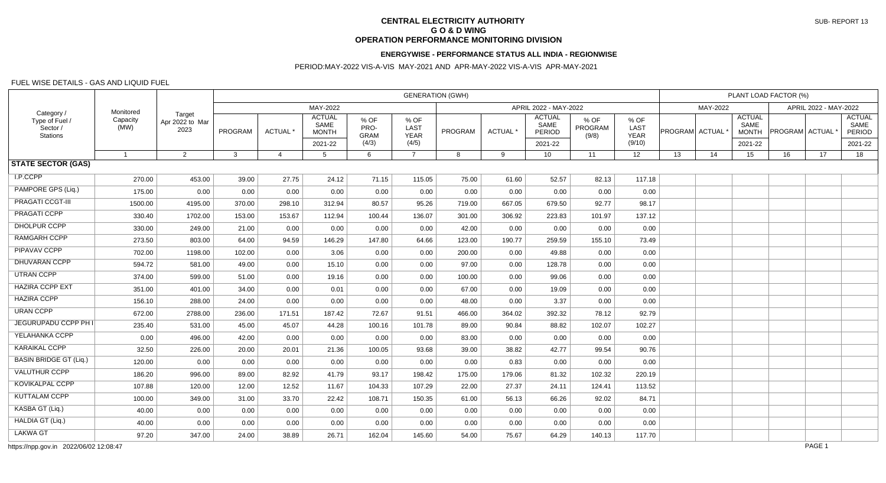# **CENTRAL ELECTRICITY AUTHORITY G O & D WING OPERATION PERFORMANCE MONITORING DIVISION**

### **ENERGYWISE - PERFORMANCE STATUS ALL INDIA - REGIONWISE**

### PERIOD:MAY-2022 VIS-A-VIS MAY-2021 AND APR-MAY-2022 VIS-A-VIS APR-MAY-2021

#### FUEL WISE DETAILS - GAS AND LIQUID FUEL

| Category /<br>Type of Fuel /<br>Sector /<br>Stations | Monitored<br>Capacity<br>(MW) | Target<br>Apr 2022 to Mar<br>2023 | <b>GENERATION (GWH)</b> |                |                                       |                             |                             |         |          |                                 |                                 |                             | PLANT LOAD FACTOR (%)                 |          |                                       |                       |    |                                        |  |
|------------------------------------------------------|-------------------------------|-----------------------------------|-------------------------|----------------|---------------------------------------|-----------------------------|-----------------------------|---------|----------|---------------------------------|---------------------------------|-----------------------------|---------------------------------------|----------|---------------------------------------|-----------------------|----|----------------------------------------|--|
|                                                      |                               |                                   | MAY-2022                |                |                                       |                             |                             |         |          | APRIL 2022 - MAY-2022           |                                 |                             |                                       | MAY-2022 |                                       | APRIL 2022 - MAY-2022 |    |                                        |  |
|                                                      |                               |                                   | PROGRAM                 | ACTUAL *       | <b>ACTUAL</b><br>SAME<br><b>MONTH</b> | % OF<br>PRO-<br><b>GRAM</b> | % OF<br>LAST<br><b>YEAR</b> | PROGRAM | ACTUAL * | <b>ACTUAL</b><br>SAME<br>PERIOD | % OF<br><b>PROGRAM</b><br>(9/8) | % OF<br>LAST<br><b>YEAR</b> | $ {\sf PROGRAM} $ ACTUAL $^{\dagger}$ |          | <b>ACTUAL</b><br>SAME<br><b>MONTH</b> | <b>PROGRAM ACTUAL</b> |    | <b>ACTUAL</b><br>SAME<br><b>PERIOD</b> |  |
|                                                      |                               |                                   |                         |                | 2021-22                               | (4/3)                       | (4/5)                       |         |          | 2021-22                         |                                 | (9/10)                      |                                       |          | 2021-22                               |                       |    | 2021-22                                |  |
| <b>STATE SECTOR (GAS)</b>                            | $\overline{1}$                | $\overline{2}$                    | $\mathbf{3}$            | $\overline{4}$ | 5                                     | 6                           | $\overline{7}$              | 8       | 9        | 10 <sup>1</sup>                 | 11                              | 12 <sup>2</sup>             | 13                                    | 14       | 15                                    | 16                    | 17 | 18                                     |  |
|                                                      |                               |                                   |                         |                |                                       |                             |                             |         |          |                                 |                                 |                             |                                       |          |                                       |                       |    |                                        |  |
| I.P.CCPP                                             | 270.00                        | 453.00                            | 39.00                   | 27.75          | 24.12                                 | 71.15                       | 115.05                      | 75.00   | 61.60    | 52.57                           | 82.13                           | 117.18                      |                                       |          |                                       |                       |    |                                        |  |
| PAMPORE GPS (Lig.)                                   | 175.00                        | 0.00                              | 0.00                    | 0.00           | 0.00                                  | 0.00                        | 0.00                        | 0.00    | 0.00     | 0.00                            | 0.00                            | 0.00                        |                                       |          |                                       |                       |    |                                        |  |
| PRAGATI CCGT-III                                     | 1500.00                       | 4195.00                           | 370.00                  | 298.10         | 312.94                                | 80.57                       | 95.26                       | 719.00  | 667.05   | 679.50                          | 92.77                           | 98.17                       |                                       |          |                                       |                       |    |                                        |  |
| PRAGATI CCPP                                         | 330.40                        | 1702.00                           | 153.00                  | 153.67         | 112.94                                | 100.44                      | 136.07                      | 301.00  | 306.92   | 223.83                          | 101.97                          | 137.12                      |                                       |          |                                       |                       |    |                                        |  |
| <b>DHOLPUR CCPP</b>                                  | 330.00                        | 249.00                            | 21.00                   | 0.00           | 0.00                                  | 0.00                        | 0.00                        | 42.00   | 0.00     | 0.00                            | 0.00                            | 0.00                        |                                       |          |                                       |                       |    |                                        |  |
| <b>RAMGARH CCPP</b>                                  | 273.50                        | 803.00                            | 64.00                   | 94.59          | 146.29                                | 147.80                      | 64.66                       | 123.00  | 190.77   | 259.59                          | 155.10                          | 73.49                       |                                       |          |                                       |                       |    |                                        |  |
| PIPAVAV CCPP                                         | 702.00                        | 1198.00                           | 102.00                  | 0.00           | 3.06                                  | 0.00                        | 0.00                        | 200.00  | 0.00     | 49.88                           | 0.00                            | 0.00                        |                                       |          |                                       |                       |    |                                        |  |
| DHUVARAN CCPP                                        | 594.72                        | 581.00                            | 49.00                   | 0.00           | 15.10                                 | 0.00                        | 0.00                        | 97.00   | 0.00     | 128.78                          | 0.00                            | 0.00                        |                                       |          |                                       |                       |    |                                        |  |
| <b>UTRAN CCPP</b>                                    | 374.00                        | 599.00                            | 51.00                   | 0.00           | 19.16                                 | 0.00                        | 0.00                        | 100.00  | 0.00     | 99.06                           | 0.00                            | 0.00                        |                                       |          |                                       |                       |    |                                        |  |
| <b>HAZIRA CCPP EXT</b>                               | 351.00                        | 401.00                            | 34.00                   | 0.00           | 0.01                                  | 0.00                        | 0.00                        | 67.00   | 0.00     | 19.09                           | 0.00                            | 0.00                        |                                       |          |                                       |                       |    |                                        |  |
| <b>HAZIRA CCPP</b>                                   | 156.10                        | 288.00                            | 24.00                   | 0.00           | 0.00                                  | 0.00                        | 0.00                        | 48.00   | 0.00     | 3.37                            | 0.00                            | 0.00                        |                                       |          |                                       |                       |    |                                        |  |
| <b>URAN CCPP</b>                                     | 672.00                        | 2788.00                           | 236.00                  | 171.51         | 187.42                                | 72.67                       | 91.51                       | 466.00  | 364.02   | 392.32                          | 78.12                           | 92.79                       |                                       |          |                                       |                       |    |                                        |  |
| JEGURUPADU CCPP PH I                                 | 235.40                        | 531.00                            | 45.00                   | 45.07          | 44.28                                 | 100.16                      | 101.78                      | 89.00   | 90.84    | 88.82                           | 102.07                          | 102.27                      |                                       |          |                                       |                       |    |                                        |  |
| YELAHANKA CCPP                                       | 0.00                          | 496.00                            | 42.00                   | 0.00           | 0.00                                  | 0.00                        | 0.00                        | 83.00   | 0.00     | 0.00                            | 0.00                            | 0.00                        |                                       |          |                                       |                       |    |                                        |  |
| <b>KARAIKAL CCPP</b>                                 | 32.50                         | 226.00                            | 20.00                   | 20.01          | 21.36                                 | 100.05                      | 93.68                       | 39.00   | 38.82    | 42.77                           | 99.54                           | 90.76                       |                                       |          |                                       |                       |    |                                        |  |
| <b>BASIN BRIDGE GT (Lig.)</b>                        | 120.00                        | 0.00                              | 0.00                    | 0.00           | 0.00                                  | 0.00                        | 0.00                        | 0.00    | 0.83     | 0.00                            | 0.00                            | 0.00                        |                                       |          |                                       |                       |    |                                        |  |
| <b>VALUTHUR CCPP</b>                                 | 186.20                        | 996.00                            | 89.00                   | 82.92          | 41.79                                 | 93.17                       | 198.42                      | 175.00  | 179.06   | 81.32                           | 102.32                          | 220.19                      |                                       |          |                                       |                       |    |                                        |  |
| KOVIKALPAL CCPP                                      | 107.88                        | 120.00                            | 12.00                   | 12.52          | 11.67                                 | 104.33                      | 107.29                      | 22.00   | 27.37    | 24.11                           | 124.41                          | 113.52                      |                                       |          |                                       |                       |    |                                        |  |
| <b>KUTTALAM CCPP</b>                                 | 100.00                        | 349.00                            | 31.00                   | 33.70          | 22.42                                 | 108.71                      | 150.35                      | 61.00   | 56.13    | 66.26                           | 92.02                           | 84.71                       |                                       |          |                                       |                       |    |                                        |  |
| KASBA GT (Liq.)                                      | 40.00                         | 0.00                              | 0.00                    | 0.00           | 0.00                                  | 0.00                        | 0.00                        | 0.00    | 0.00     | 0.00                            | 0.00                            | 0.00                        |                                       |          |                                       |                       |    |                                        |  |
| HALDIA GT (Liq.)                                     | 40.00                         | 0.00                              | 0.00                    | 0.00           | 0.00                                  | 0.00                        | 0.00                        | 0.00    | 0.00     | 0.00                            | 0.00                            | 0.00                        |                                       |          |                                       |                       |    |                                        |  |
| <b>LAKWA GT</b>                                      | 97.20                         | 347.00                            | 24.00                   | 38.89          | 26.71                                 | 162.04                      | 145.60                      | 54.00   | 75.67    | 64.29                           | 140.13                          | 117.70                      |                                       |          |                                       |                       |    |                                        |  |